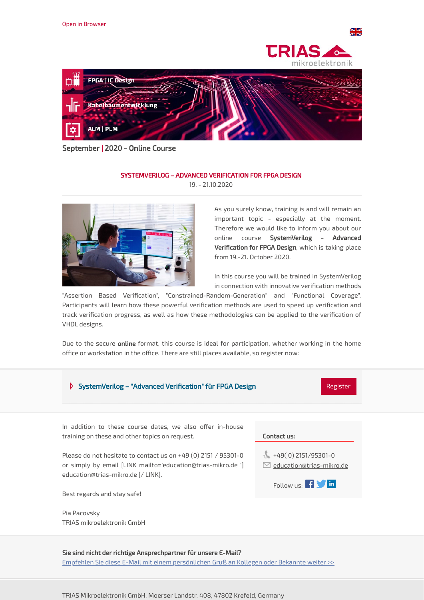





September | 2020 - Online Course

## SYSTEMVERILOG – ADVANCED VERIFICATION FOR FPGA DESIGN 19. - 21.10.2020

As you surely know, training is and will remain an important topic - especially at the moment. Therefore we would like to inform you about our online course SystemVerilog - Advanced Verification for FPGA Design, which is taking place from 19.-21. October 2020.

In this course you will be trained in SystemVerilog in connection with innovative verification methods

"Assertion Based Verification", "Constrained-Random-Generation" and "Functional Coverage". Participants will learn how these powerful verification methods are used to speed up verification and track verification progress, as well as how these methodologies can be applied to the verification of VHDL designs.

Due to the secure online format, this course is ideal for participation, whether working in the home office or workstation in the office. There are still places available, so register now:



Sie sind nicht der richtige Ansprechpartner für unsere E-Mail? Empfehlen Sie diese E-Mail mit einem [persönlichen](https://mailing.trias-mikro.com/email/testPreview/simulateMailingFunction/1065) Gruß an Kollegen oder Bekannte weiter >>